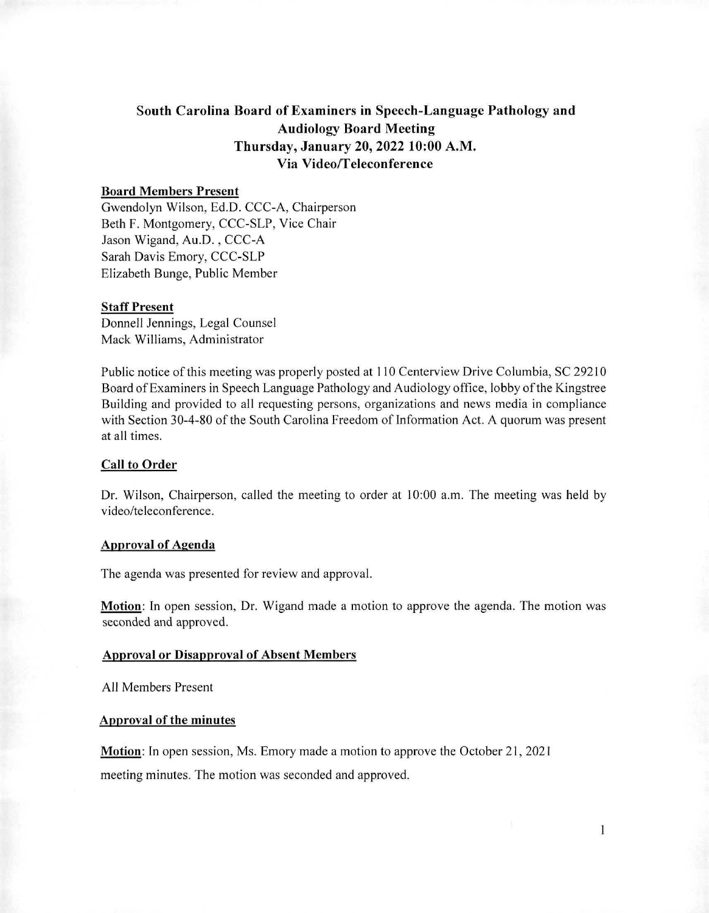# South Carolina Board of Examiners in Speech-Language Pathology and Audiology Board Meeting Thursday, January 20, 2022 10:00 A.M. Via Video/Teleconference

# Board Members Present

Gwendolyn Wilson, Ed.D. CCC-A, Chairperson Beth F. Montgomery, CCC-SLP, Vice Chair Jason Wigand, Au.D. , CCC-A Sarah Davis Emory, CCC-SLP Elizabeth Bunge, Public Member

### **Staff Present**

Donnell Jennings, Legal Counsel Mack Williams, Administrator

Public notice of this meeting was properly posted at 110 Centerview Drive Columbia, SC 29210 Board of Examiners in Speech Language Pathology and Audiology office, lobby of the Kingstree Building and provided to all requesting persons, organizations and news media in compliance with Section 30-4-80 of the South Carolina Freedom of Information Act. A quorum was present at all times.

## Call to Order

Dr. Wilson, Chairperson, called the meeting to order at 10:00 a.m. The meeting was held by video/teleconference.

#### Approval of Agenda

The agenda was presented for review and approval.

Motion: In open session, Dr. Wigand made a motion to approve the agenda. The motion was seconded and approved.

### Approval or Disapproval of Absent Members

All Members Present

### Approval of the minutes

Motion: In open session, Ms. Emory made a motion to approve the October 21, 2021 meeting minutes. The motion was seconded and approved.

1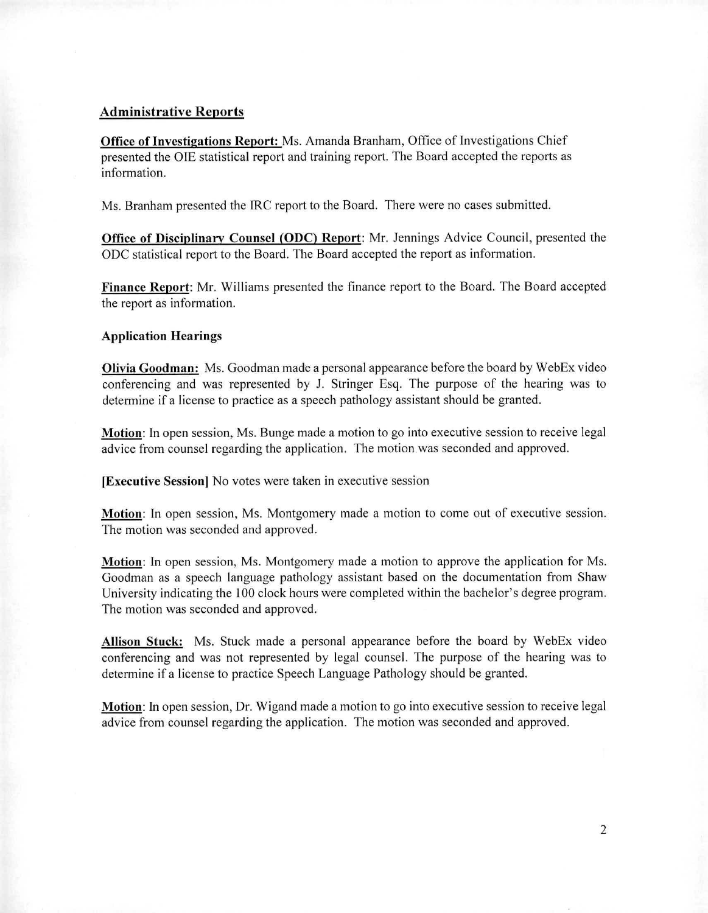## **Administrative Reports**

**Office of Investigations Report:** Ms. Amanda Branham, Office of Investigations Chief presented the OIE statistical report and training report. The Board accepted the reports as information.

Ms. Branham presented the IRC report to the Board. There were no cases submitted.

**Office of Disciplinary Counsel (ODC) Report:** Mr. Jennings Advice Council, presented the ODC statistical report to the Board. The Board accepted the report as information.

**Finance Report:** Mr. Williams presented the finance report to the Board. The Board accepted the report as information.

### **Application Hearings**

**Olivia Goodman:** Ms. Goodman made a personal appearance before the board by WebEx video conferencing and was represented by J. Stringer Esq. The purpose of the hearing was to determine if a license to practice as a speech pathology assistant should be granted.

**Motion:** In open session, Ms. Bunge made a motion to go into executive session to receive legal advice from counsel regarding the application. The motion was seconded and approved.

**[Executive Session]** No votes were taken in executive session

**Motion.** In open session, Ms. Montgomery made a motion to come out of executive session. The motion was seconded and approved.

**Motion:** In open session, Ms. Montgomery made a motion to approve the application for Ms. Goodman as a speech language pathology assistant based on the documentation from Shaw University indicating the 100 clock hours were completed within the bachelor's degree program. The motion was seconded and approved.

**Allison Stuck:** Ms. Stuck made a personal appearance before the board by WebEx video conferencing and was not represented by legal counsel. The purpose of the hearing was to determine if a license to practice Speech Language Pathology should be granted.

**Motion:** In open session, Dr. Wigand made a motion to go into executive session to receive legal advice from counsel regarding the application. The motion was seconded and approved.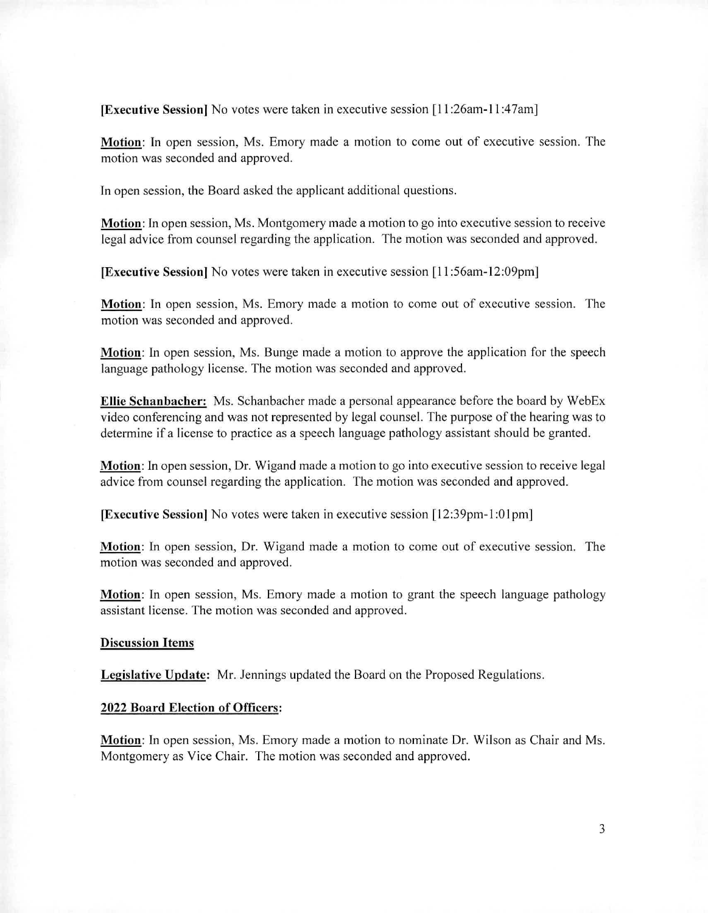**[Executive Session]** No votes were taken in executive session [11:26am-11:47am]

**Motion:** In open session, Ms. Emory made a motion to come out of executive session. The motion was seconded and approved.

In open session, the Board asked the applicant additional questions.

**Motion: In** open session, Ms. Montgomery made a motion to go into executive session to receive legal advice from counsel regarding the application. The motion was seconded and approved.

**[Executive Session]** No votes were taken in executive session [11:56am-12:09pm]

**Motion:** In open session, Ms. Emory made a motion to come out of executive session. The motion was seconded and approved.

**Motion:** In open session, Ms. Bunge made a motion to approve the application for the speech language pathology license. The motion was seconded and approved.

**Ellie Schanbacher:** Ms. Schanbacher made a personal appearance before the board by WebEx video conferencing and was not represented by legal counsel. The purpose of the hearing was to determine if a license to practice as a speech language pathology assistant should be granted.

**Motion:** In open session, Dr. Wigand made a motion to go into executive session to receive legal advice from counsel regarding the application. The motion was seconded and approved.

**[Executive Session]** No votes were taken in executive session [12:39pm-1:01pm]

**Motion:** In open session, Dr. Wigand made a motion to come out of executive session. The motion was seconded and approved.

**Motion:** In open session, Ms. Emory made a motion to grant the speech language pathology assistant license. The motion was seconded and approved.

#### **Discussion Items**

**Legislative Update:** Mr. Jennings updated the Board on the Proposed Regulations.

#### **2022 Board Election of Officers:**

**Motion:** In open session, Ms. Emory made a motion to nominate Dr. Wilson as Chair and Ms. Montgomery as Vice Chair. The motion was seconded and approved.